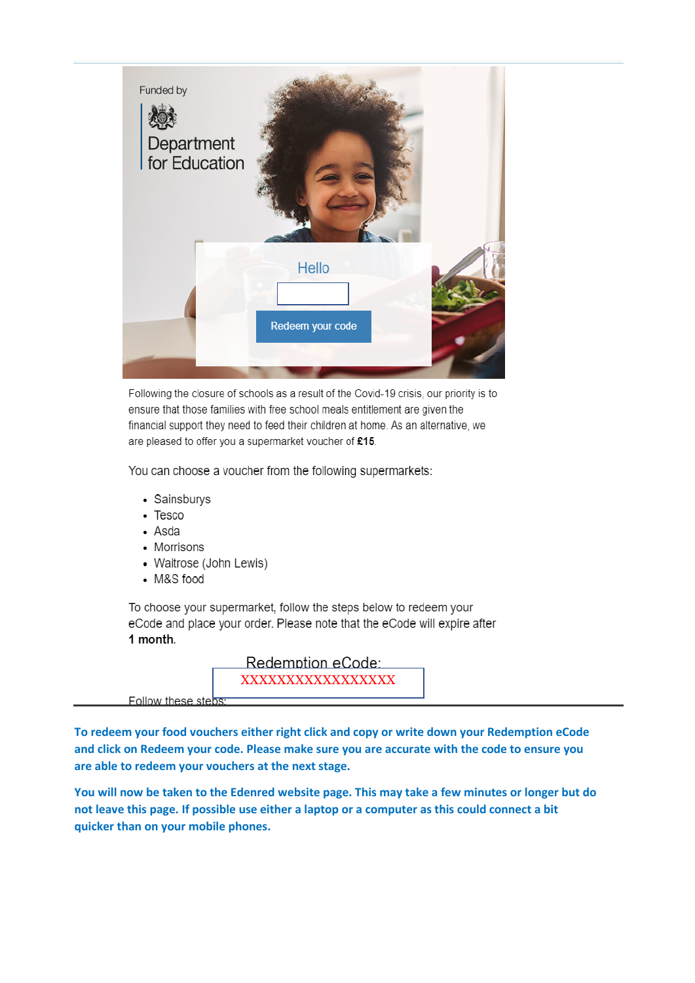

Following the closure of schools as a result of the Covid-19 crisis, our priority is to ensure that those families with free school meals entitlement are given the financial support they need to feed their children at home. As an alternative, we are pleased to offer you a supermarket voucher of £15.

You can choose a voucher from the following supermarkets:

- Sainsburys
- $\bullet$  Tesco
- Asda
- Morrisons
- Waitrose (John Lewis)
- M&S food

To choose your supermarket, follow the steps below to redeem your eCode and place your order. Please note that the eCode will expire after 1 month.

> Redemption eCode: XXXXXXXXXXXXXXXX

Follow these steps

To redeem your food vouchers either right click and copy or write down your Redemption eCode and click on Redeem your code. Please make sure you are accurate with the code to ensure you are able to redeem your vouchers at the next stage.

You will now be taken to the Edenred website page. This may take a few minutes or longer but do not leave this page. If possible use either a laptop or a computer as this could connect a bit quicker than on your mobile phones.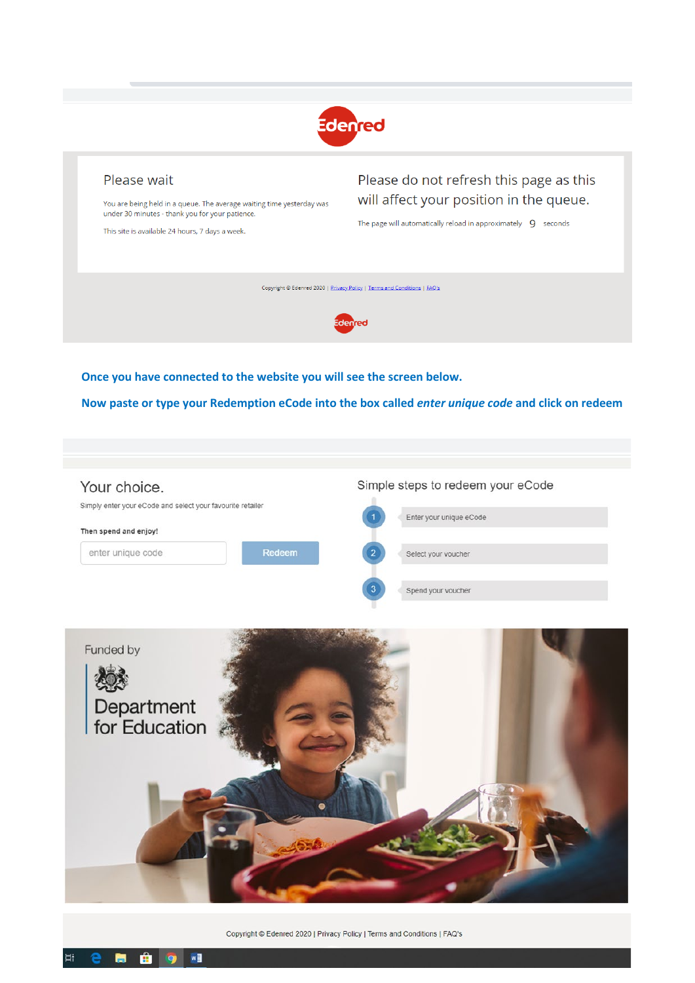

## Please wait

You are being held in a queue. The average waiting time yesterday was under 30 minutes - thank you for your patience.

This site is available 24 hours, 7 days a week.

Please do not refresh this page as this will affect your position in the queue.

The page will automatically reload in approximately  $\,$  9  $\,$  seconds

Copyright © Edenred 2020 | Privacy Policy | Terms and Conditions | FAQ's



Once you have connected to the website you will see the screen below.

Now paste or type your Redemption eCode into the box called enter unique code and click on redeem





Copyright © Edenred 2020 | Privacy Policy | Terms and Conditions | FAQ's

 $w\overline{=}$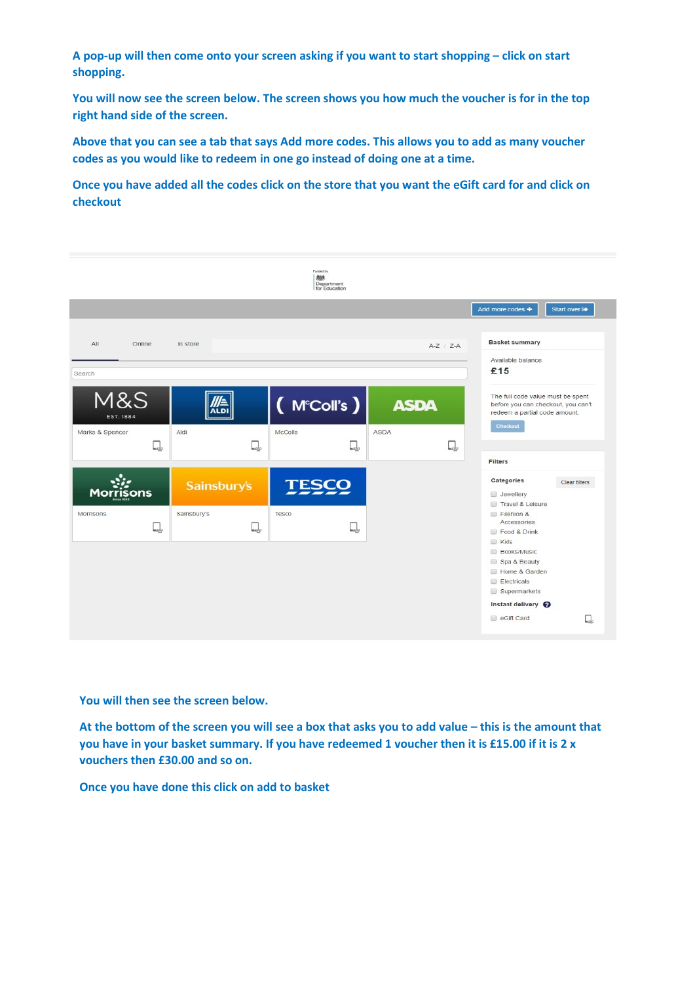**A pop-up will then come onto your screen asking if you want to start shopping – click on start shopping.**

**You will now see the screen below. The screen shows you how much the voucher is for in the top right hand side of the screen.**

**Above that you can see a tab that says Add more codes. This allows you to add as many voucher codes as you would like to redeem in one go instead of doing one at a time.**

**Once you have added all the codes click on the store that you want the eGift card for and click on checkout**



**You will then see the screen below.**

**At the bottom of the screen you will see a box that asks you to add value – this is the amount that you have in your basket summary. If you have redeemed 1 voucher then it is £15.00 if it is 2 x vouchers then £30.00 and so on.**

**Once you have done this click on add to basket**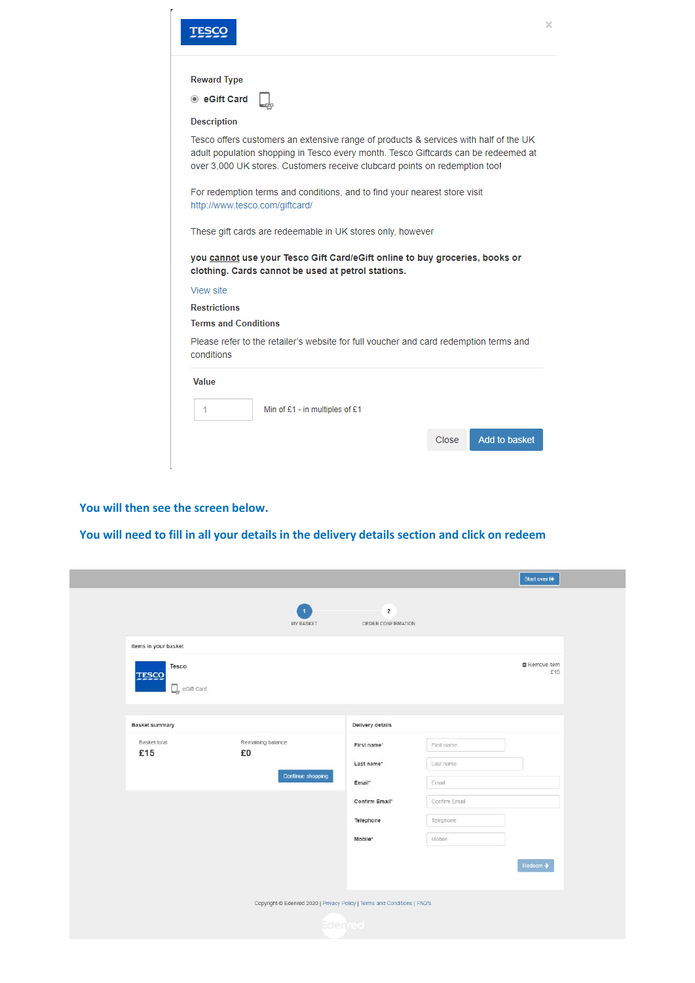|                                                                                                                                                                                                                                                          | × |
|----------------------------------------------------------------------------------------------------------------------------------------------------------------------------------------------------------------------------------------------------------|---|
| <b>Reward Type</b>                                                                                                                                                                                                                                       |   |
|                                                                                                                                                                                                                                                          |   |
| ◉ eGift Card                                                                                                                                                                                                                                             |   |
| <b>Description</b>                                                                                                                                                                                                                                       |   |
| Tesco offers customers an extensive range of products & services with half of the UK<br>adult population shopping in Tesco every month. Tesco Giftcards can be redeemed at<br>over 3,000 UK stores. Customers receive clubcard points on redemption too! |   |
| For redemption terms and conditions, and to find your nearest store visit<br>http://www.tesco.com/giftcard/                                                                                                                                              |   |
| These gift cards are redeemable in UK stores only, however                                                                                                                                                                                               |   |
| you cannot use your Tesco Gift Card/eGift online to buy groceries, books or<br>clothing. Cards cannot be used at petrol stations.                                                                                                                        |   |
| View site                                                                                                                                                                                                                                                |   |
| <b>Restrictions</b>                                                                                                                                                                                                                                      |   |
| <b>Terms and Conditions</b>                                                                                                                                                                                                                              |   |
| Please refer to the retailer's website for full voucher and card redemption terms and<br>conditions                                                                                                                                                      |   |
| Value                                                                                                                                                                                                                                                    |   |
| Min of £1 - in multiples of £1<br>1                                                                                                                                                                                                                      |   |
| Add to basket<br>Close                                                                                                                                                                                                                                   |   |
|                                                                                                                                                                                                                                                          |   |

## **You will then see the screen below.**

**You will need to fill in all your details in the delivery details section and click on redeem**

|                                    |                                                                          |                                      |               | Start over @                |
|------------------------------------|--------------------------------------------------------------------------|--------------------------------------|---------------|-----------------------------|
|                                    | $\overline{1}$<br>MY BASKET                                              | $\overline{2}$<br>ORDER CONFIRMATION |               |                             |
| Items in your basket               |                                                                          |                                      |               |                             |
| Tesco<br>TESCO<br>Q,<br>eGift Card |                                                                          |                                      |               | <b>自 Remove Item</b><br>£15 |
| <b>Basket summary</b>              |                                                                          | Delivery details                     |               |                             |
| Basket total                       | Remaining balance                                                        |                                      |               |                             |
| £15                                | £0                                                                       | First name*                          | First name    |                             |
|                                    |                                                                          | Last name <sup>+</sup>               | Last name     |                             |
|                                    | Continue shopping                                                        | Email*                               | Email         |                             |
|                                    |                                                                          | Confirm Email*                       | Confirm Email |                             |
|                                    |                                                                          | Telephone                            | Telephone     |                             |
|                                    |                                                                          | Mobile <sup>*</sup>                  | Mobile        |                             |
|                                    |                                                                          |                                      |               | Redeem →                    |
|                                    |                                                                          |                                      |               |                             |
|                                    | Copyright @ Edenred 2020   Privacy Policy   Terms and Conditions   FAQ's |                                      |               |                             |
|                                    |                                                                          | Edenred                              |               |                             |